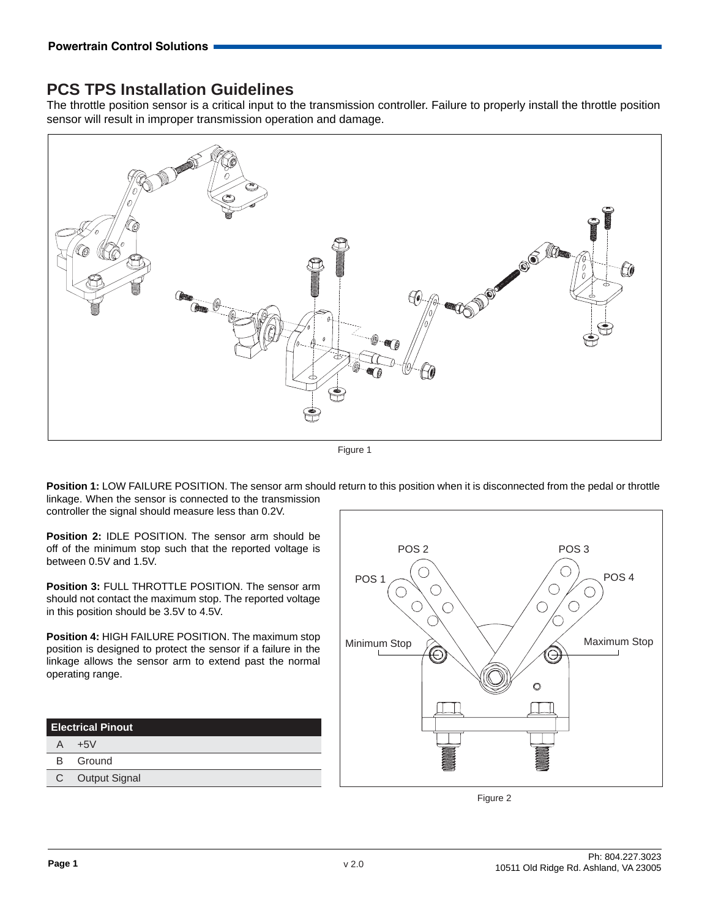## **PCS TPS Installation Guidelines**

The throttle position sensor is a critical input to the transmission controller. Failure to properly install the throttle position sensor will result in improper transmission operation and damage.



Figure 1

**Position 1:** LOW FAILURE POSITION. The sensor arm should return to this position when it is disconnected from the pedal or throttle linkage. When the sensor is connected to the transmission controller the signal should measure less than 0.2V.

**Position 2:** IDLE POSITION. The sensor arm should be off of the minimum stop such that the reported voltage is between 0.5V and 1.5V.

**Position 3:** FULL THROTTLE POSITION. The sensor arm should not contact the maximum stop. The reported voltage in this position should be 3.5V to 4.5V.

**Position 4:** HIGH FAILURE POSITION. The maximum stop position is designed to protect the sensor if a failure in the linkage allows the sensor arm to extend past the normal operating range.

| <b>Electrical Pinout</b> |                 |
|--------------------------|-----------------|
| A                        | $+5V$           |
|                          | <b>B</b> Ground |
|                          | C Output Signal |
|                          |                 |



Figure 2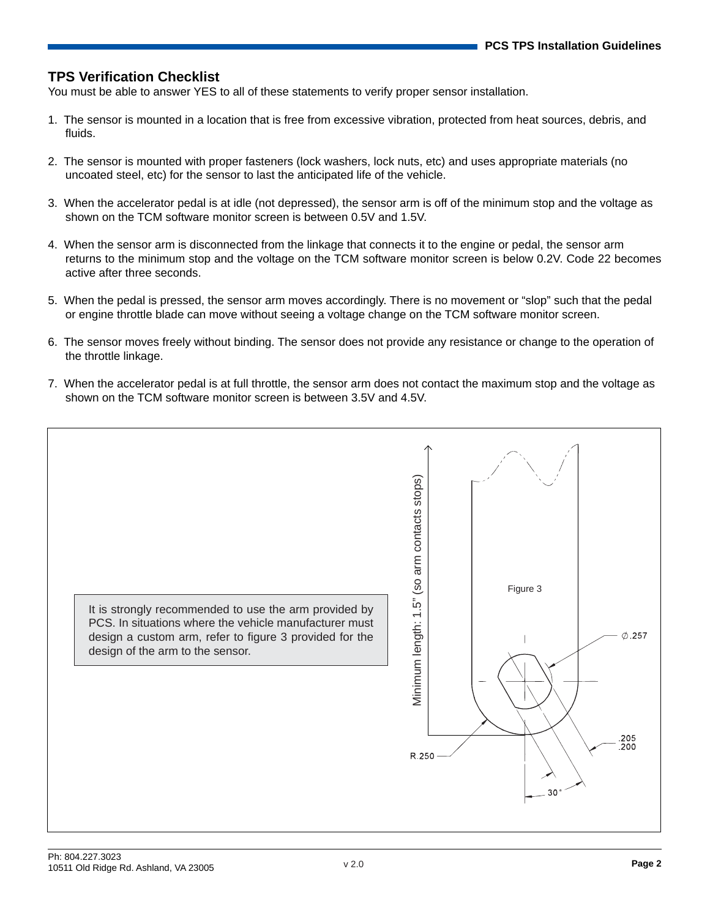## **TPS Verification Checklist**

You must be able to answer YES to all of these statements to verify proper sensor installation.

- 1. The sensor is mounted in a location that is free from excessive vibration, protected from heat sources, debris, and fluids.
- 2. The sensor is mounted with proper fasteners (lock washers, lock nuts, etc) and uses appropriate materials (no uncoated steel, etc) for the sensor to last the anticipated life of the vehicle.
- 3. When the accelerator pedal is at idle (not depressed), the sensor arm is off of the minimum stop and the voltage as shown on the TCM software monitor screen is between 0.5V and 1.5V.
- 4. When the sensor arm is disconnected from the linkage that connects it to the engine or pedal, the sensor arm returns to the minimum stop and the voltage on the TCM software monitor screen is below 0.2V. Code 22 becomes active after three seconds.
- 5. When the pedal is pressed, the sensor arm moves accordingly. There is no movement or "slop" such that the pedal or engine throttle blade can move without seeing a voltage change on the TCM software monitor screen.
- 6. The sensor moves freely without binding. The sensor does not provide any resistance or change to the operation of the throttle linkage.
- 7. When the accelerator pedal is at full throttle, the sensor arm does not contact the maximum stop and the voltage as shown on the TCM software monitor screen is between 3.5V and 4.5V.